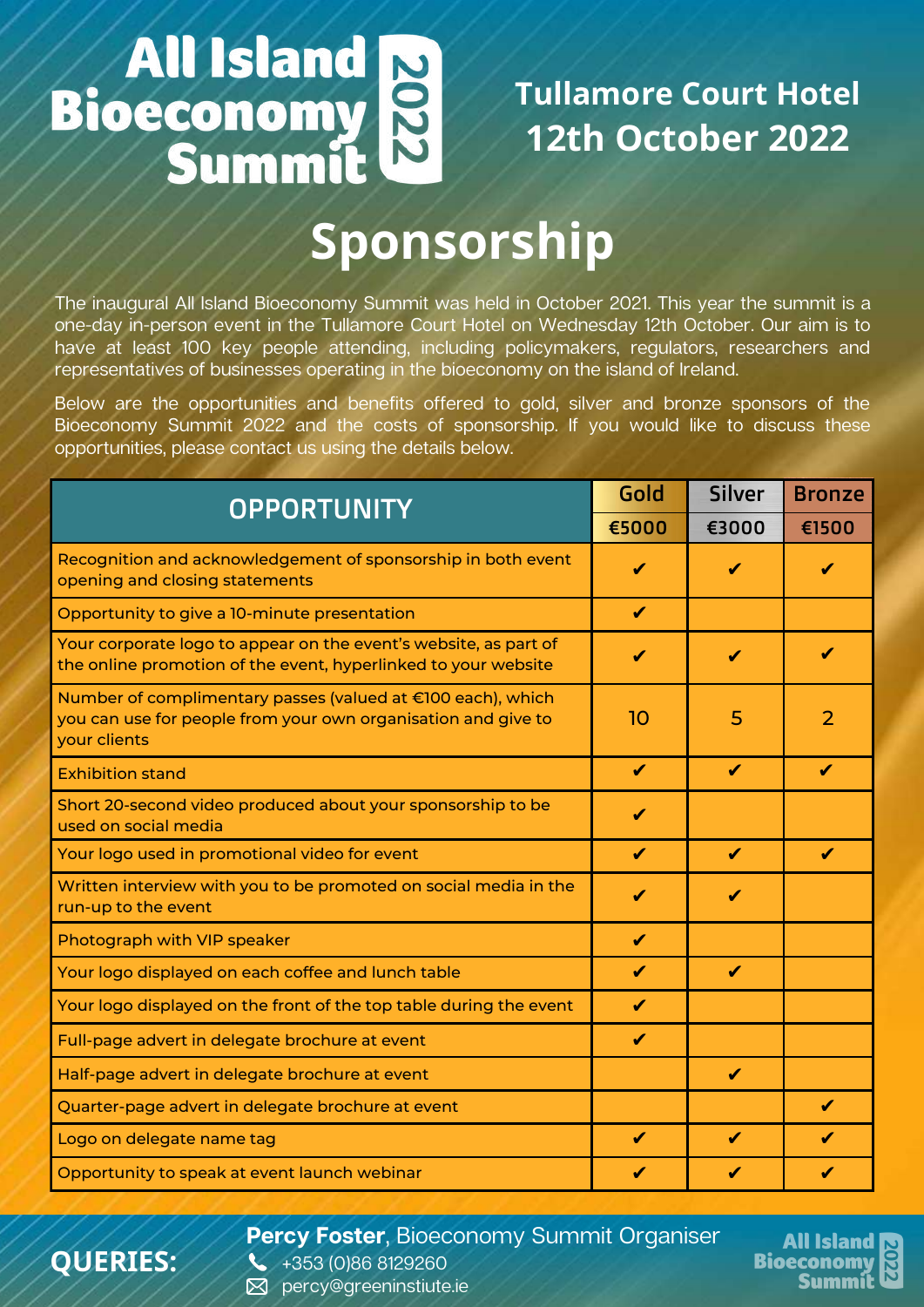# **All Island<br>Bioeconomy<br>Summit** 2022

### **Tullamore Court Hotel 12th October 2022**

# **Sponsorship**

The inaugural All Island Bioeconomy Summit was held in October 2021. This year the summit is a one-day in-person event in the Tullamore Court Hotel on Wednesday 12th October. Our aim is to have at least 100 key people attending, including policymakers, regulators, researchers and representatives of businesses operating in the bioeconomy on the island of Ireland.

Below are the opportunities and benefits offered to gold, silver and bronze sponsors of the Bioeconomy Summit 2022 and the costs of sponsorship. If you would like to discuss these opportunities, please contact us using the details below.

| <b>OPPORTUNITY</b>                                                                                                                           | Gold             | <b>Silver</b> | <b>Bronze</b> |
|----------------------------------------------------------------------------------------------------------------------------------------------|------------------|---------------|---------------|
|                                                                                                                                              | €5000            | €3000         | €1500         |
| Recognition and acknowledgement of sponsorship in both event<br>opening and closing statements                                               | ✔                | ✔             | ✔             |
| Opportunity to give a 10-minute presentation                                                                                                 | $\boldsymbol{J}$ |               |               |
| Your corporate logo to appear on the event's website, as part of<br>the online promotion of the event, hyperlinked to your website           | ✔                | ✔             | ✔             |
| Number of complimentary passes (valued at €100 each), which<br>you can use for people from your own organisation and give to<br>your clients | 10               | 5             | 2             |
| <b>Exhibition stand</b>                                                                                                                      | ✔                | ✔             | ✔             |
| Short 20-second video produced about your sponsorship to be<br>used on social media                                                          | ✔                |               |               |
| Your logo used in promotional video for event                                                                                                | ✔                | ✔             | ✔             |
| Written interview with you to be promoted on social media in the<br>run-up to the event                                                      | J                | ✔             |               |
| Photograph with VIP speaker                                                                                                                  | ✔                |               |               |
| Your logo displayed on each coffee and lunch table                                                                                           | $\checkmark$     | $\checkmark$  |               |
| Your logo displayed on the front of the top table during the event                                                                           | ✔                |               |               |
| Full-page advert in delegate brochure at event                                                                                               | ✔                |               |               |
| Half-page advert in delegate brochure at event                                                                                               |                  | ✔             |               |
| Quarter-page advert in delegate brochure at event                                                                                            |                  |               | ✔             |
| Logo on delegate name tag                                                                                                                    | ✔                | ✔             | ✔             |
| Opportunity to speak at event launch webinar                                                                                                 |                  |               | ✔             |

**Percy Foster**, Bioeconomy Summit Organiser



+353 (0)86 8129260 **⊠** percy@greeninstiute.ie

**QUERIES:**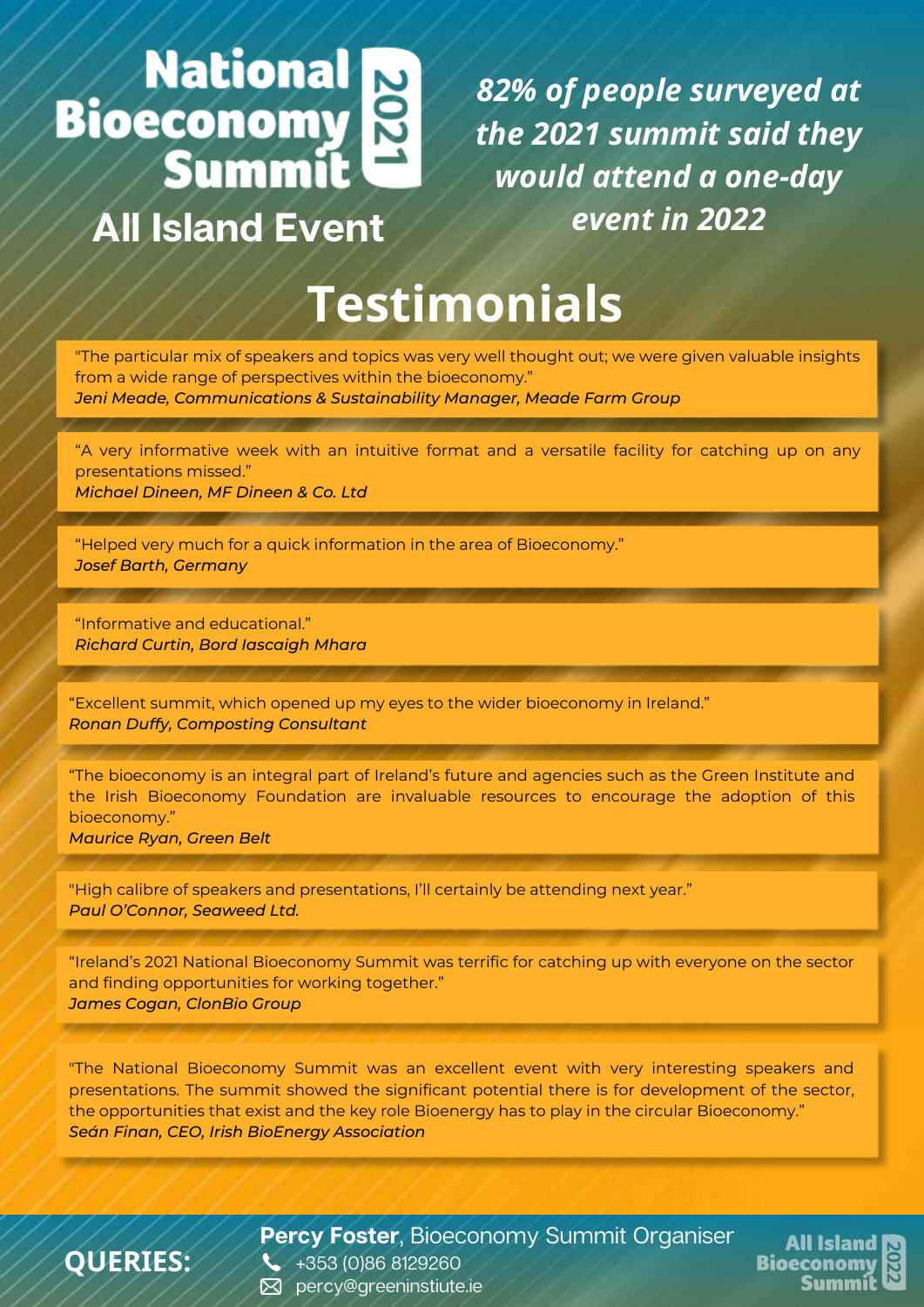# **Exercise Service**<br>Bioeconomy<br>Summit

## **All Island Event**

*82% of people surveyed at the 2021 summit said they would attend a one-day event in 2022*

## **Testimonials**

"The particular mix of speakers and topics was very well thought out; we were given valuable insights from a wide range of perspectives within the bioeconomy." *Jeni Meade, Communications & Sustainability Manager, Meade Farm Group*

"A very informative week with an intuitive format and a versatile facility for catching up on any presentations missed."

*Michael Dineen, MF Dineen & Co. Ltd*

"Helped very much for a quick information in the area of Bioeconomy." *Josef Barth, Germany*

"Informative and educational." *Richard Curtin, Bord Iascaigh Mhara*

"Excellent summit, which opened up my eyes to the wider bioeconomy in Ireland." *Ronan Duffy, Composting Consultant*

"The bioeconomy is an integral part of Ireland's future and agencies such as the Green Institute and the Irish Bioeconomy Foundation are invaluable resources to encourage the adoption of this bioeconomy."

*Maurice Ryan, Green Belt*

"High calibre of speakers and presentations, I'll certainly be attending next year." *Paul O'Connor, Seaweed Ltd.*

"Ireland's 2021 National Bioeconomy Summit was terrific for catching up with everyone on the sector and finding opportunities for working together." *James Cogan, ClonBio Group*

"The National Bioeconomy Summit was an excellent event with very interesting speakers and presentations. The summit showed the significant potential there is for development of the sector, the opportunities that exist and the key role Bioenergy has to play in the circular Bioeconomy." *Seán Finan, CEO, Irish BioEnergy Association*



**Percy Foster**, Bioeconomy Summit Organiser

**All Island Bioeconom** Summí